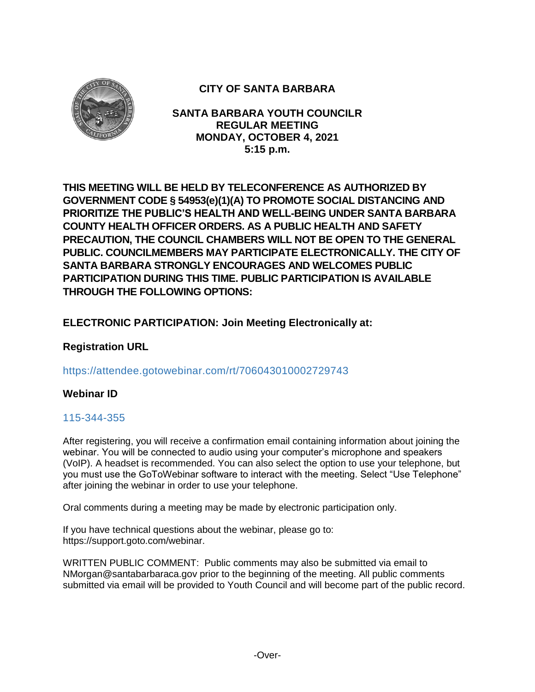

# **CITY OF SANTA BARBARA**

**SANTA BARBARA YOUTH COUNCILR REGULAR MEETING MONDAY, OCTOBER 4, 2021 5:15 p.m.**

**THIS MEETING WILL BE HELD BY TELECONFERENCE AS AUTHORIZED BY GOVERNMENT CODE § 54953(e)(1)(A) TO PROMOTE SOCIAL DISTANCING AND PRIORITIZE THE PUBLIC'S HEALTH AND WELL-BEING UNDER SANTA BARBARA COUNTY HEALTH OFFICER ORDERS. AS A PUBLIC HEALTH AND SAFETY PRECAUTION, THE COUNCIL CHAMBERS WILL NOT BE OPEN TO THE GENERAL PUBLIC. COUNCILMEMBERS MAY PARTICIPATE ELECTRONICALLY. THE CITY OF SANTA BARBARA STRONGLY ENCOURAGES AND WELCOMES PUBLIC PARTICIPATION DURING THIS TIME. PUBLIC PARTICIPATION IS AVAILABLE THROUGH THE FOLLOWING OPTIONS:**

# **ELECTRONIC PARTICIPATION: Join Meeting Electronically at:**

# **Registration URL**

### https://attendee.gotowebinar.com/rt/706043010002729743

### **Webinar ID**

### 115-344-355

After registering, you will receive a confirmation email containing information about joining the webinar. You will be connected to audio using your computer's microphone and speakers (VoIP). A headset is recommended. You can also select the option to use your telephone, but you must use the GoToWebinar software to interact with the meeting. Select "Use Telephone" after joining the webinar in order to use your telephone.

Oral comments during a meeting may be made by electronic participation only.

If you have technical questions about the webinar, please go to: https://support.goto.com/webinar.

WRITTEN PUBLIC COMMENT: Public comments may also be submitted via email to NMorgan@santabarbaraca.gov prior to the beginning of the meeting. All public comments submitted via email will be provided to Youth Council and will become part of the public record.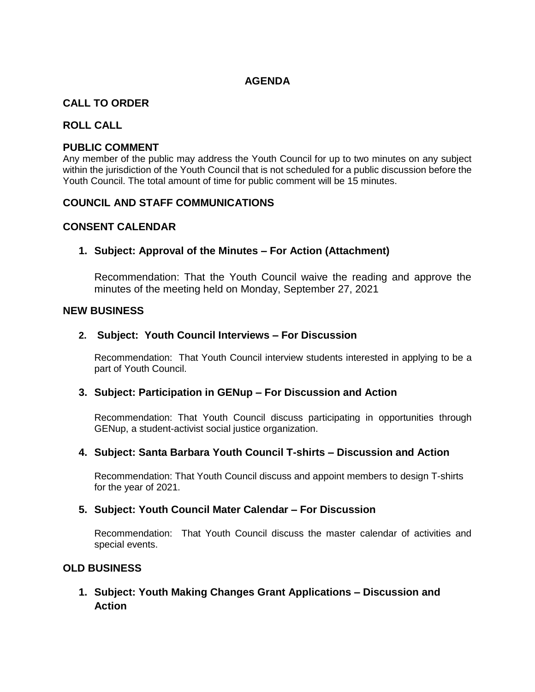## **AGENDA**

## **CALL TO ORDER**

#### **ROLL CALL**

#### **PUBLIC COMMENT**

Any member of the public may address the Youth Council for up to two minutes on any subject within the jurisdiction of the Youth Council that is not scheduled for a public discussion before the Youth Council. The total amount of time for public comment will be 15 minutes.

#### **COUNCIL AND STAFF COMMUNICATIONS**

### **CONSENT CALENDAR**

### **1. Subject: Approval of the Minutes – For Action (Attachment)**

Recommendation: That the Youth Council waive the reading and approve the minutes of the meeting held on Monday, September 27, 2021

#### **NEW BUSINESS**

#### **2. Subject: Youth Council Interviews – For Discussion**

Recommendation: That Youth Council interview students interested in applying to be a part of Youth Council.

#### **3. Subject: Participation in GENup – For Discussion and Action**

Recommendation: That Youth Council discuss participating in opportunities through GENup, a student-activist social justice organization.

### **4. Subject: Santa Barbara Youth Council T-shirts – Discussion and Action**

Recommendation: That Youth Council discuss and appoint members to design T-shirts for the year of 2021.

#### **5. Subject: Youth Council Mater Calendar – For Discussion**

Recommendation: That Youth Council discuss the master calendar of activities and special events.

### **OLD BUSINESS**

**1. Subject: Youth Making Changes Grant Applications – Discussion and Action**